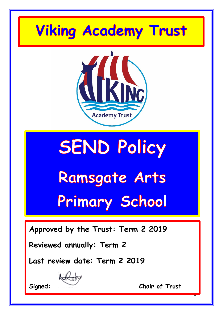## **Viking Academy Trust**



# **SEND Policy** Ramsgate Arts

## Primary School

**Approved by the Trust: Term 2 2019**

**Reviewed annually: Term 2**

**Last review date: Term 2 2019**

**Signed: Chair of Trust**

1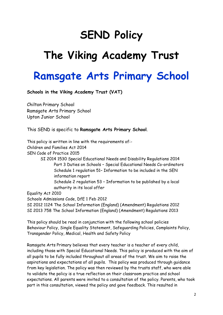### **SEND Policy**

## **The Viking Academy Trust**

### **Ramsgate Arts Primary School**

**Schools in the Viking Academy Trust (VAT)**

Chilton Primary School Ramsgate Arts Primary School Upton Junior School

This SEND is specific to **Ramsgate Arts Primary School**.

This policy is written in line with the requirements of:- Children and Families Act 2014 SEN Code of Practice 2015 SI 2014 1530 Special Educational Needs and Disability Regulations 2014 Part 3 Duties on Schools – Special Educational Needs Co-ordinators Schedule 1 regulation 51– Information to be included in the SEN information report Schedule 2 regulation 53 – Information to be published by a local authority in its local offer Equality Act 2010 Schools Admissions Code, DfE 1 Feb 2012 SI 2012 1124 The School Information (England) (Amendment) Regulations 2012

SI 2013 758 The School Information (England) (Amendment) Regulations 2013

This policy should be read in conjunction with the following school policies Behaviour Policy, Single Equality Statement, Safeguarding Policies, Complaints Policy, Transgender Policy, Medical, Health and Safety Policy

Ramsgate Arts Primary believes that every teacher is a teacher of every child, including those with Special Educational Needs. This policy is produced with the aim of all pupils to be fully included throughout all areas of the trust. We aim to raise the aspirations and expectations of all pupils. This policy was produced through guidance from key legislation. The policy was then reviewed by the trusts staff, who were able to validate the policy is a true reflection on their classroom practice and school expectations. All parents were invited to a consultation of the policy. Parents, who took part in this consultation, viewed the policy and gave feedback. This resulted in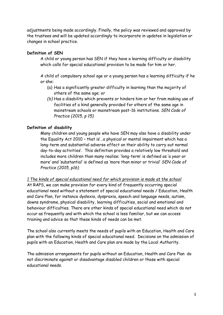adjustments being made accordingly. Finally, the policy was reviewed and approved by the trustees and will be updated accordingly to incorporate in updates in legislation or changes in school practice.

#### **Definition of SEN**

A child or young person has SEN if they have a learning difficulty or disability which calls for special educational provision to be made for him or her.

A child of compulsory school age or a young person has a learning difficulty if he or she:

- (a) Has a significantly greater difficulty in learning than the majority of others of the same age; or
- *(b)* Has a disability which prevents or hinders him or her from making use of facilities of a kind generally provided for others of the same age in mainstream schools or mainstream post-16 institutions. *SEN Code of Practice (2015, p 15)*

#### **Definition of disability**

Many children and young people who have SEN may also have a disability under the Equality Act 2010 – that is'…a physical or mental impairment which has a long-term and substantial adverse effect on their ability to carry out normal day-to-day activities'. This definition provides a relatively low threshold and includes more children than many realise: 'long-term' is defined as 'a year or more' and 'substantial' is defined as 'more than minor or trivial' *SEN Code of Practice (2015, p16)*

*1 The kinds of special educational need for which provision is made at the school*

At RAPS, we can make provision for every kind of frequently occurring special educational need without a statement of special educational needs / Education, Health and Care Plan, for instance dyslexia, dyspraxia, speech and language needs, autism, downs syndrome, physical disability, learning difficulties, social and emotional and behaviour difficulties. There are other kinds of special educational need which do not occur as frequently and with which the school is less familiar, but we can access training and advice so that these kinds of needs can be met.

The school also currently meets the needs of pupils with an Education, Health and Care plan with the following kinds of special educational need. Decisions on the admission of pupils with an Education, Health and Care plan are made by the Local Authority.

The admission arrangements for pupils without an Education, Health and Care Plan do not discriminate against or disadvantage disabled children or those with special educational needs.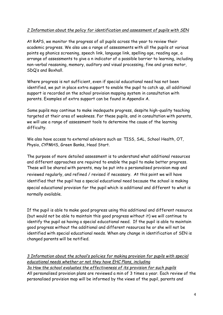#### *2 Information about the policy for identification and assessment of pupils with SEN*

At RAPS, we monitor the progress of all pupils across the year to review their academic progress. We also use a range of assessments with all the pupils at various points eg phonics screening, speech link, language link, spelling age, reading age, a arrange of assessments to give a n indicator of a possible barrier to learning, including non-verbal reasoning, memory, auditory and visual processing, fine and gross motor, SDQ's and Boxhall.

Where progress is not sufficient, even if special educational need has not been identified, we put in place extra support to enable the pupil to catch up, all additional support is recorded on the school provision mapping system in consultation with parents. Examples of extra support can be found in Appendix A.

Some pupils may continue to make inadequate progress, despite high-quality teaching targeted at their area of weakness. For these pupils, and in consultation with parents, we will use a range of assessment tools to determine the cause of the learning difficulty.

We also have access to external advisors such as: TISS, SAL, School Health, OT, Physio, CYPMHS, Green Banks, Head Start.

The purpose of more detailed assessment is to understand what additional resources and different approaches are required to enable the pupil to make better progress. These will be shared with parents, may be put into a personalised provision map and reviewed regularly, and refined / revised if necessary. At this point we will have identified that the pupil has a special educational need because the school is making special educational provision for the pupil which is additional and different to what is normally available.

If the pupil is able to make good progress using this additional and different resource (but would not be able to maintain this good progress without it) we will continue to identify the pupil as having a special educational need. If the pupil is able to maintain good progress without the additional and different resources he or she will not be identified with special educational needs. When any change in identification of SEN is changed parents will be notified.

*3 Information about the school's policies for making provision for pupils with special educational needs whether or not they have EHC Plans, including 3a How the school evaluates the effectiveness of its provision for such pupils* All personalised provision plans are reviewed a min of 3 times a year. Each review of the personalised provision map will be informed by the views of the pupil, parents and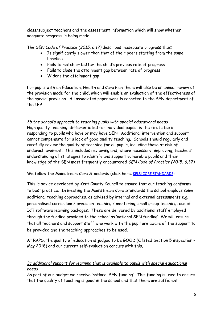class/subject teachers and the assessment information which will show whether adequate progress is being made.

The *SEN Code of Practice (2015, 6.17)* describes inadequate progress thus:

- Is significantly slower than that of their peers starting from the same baseline
- Fails to match or better the child's previous rate of progress
- Fails to close the attainment gap between rate of progress
- Widens the attainment gap

For pupils with an Education, Health and Care Plan there will also be an annual review of the provision made for the child, which will enable an evaluation of the effectiveness of the special provision. All associated paper work is reported to the SEN department of the LEA.

#### *3b the school's approach to teaching pupils with special educational needs*

High quality teaching, differentiated for individual pupils, is the first step in responding to pupils who have or may have SEN. Additional intervention and support cannot compensate for a lack of good quality teaching. Schools should regularly and carefully review the quality of teaching for all pupils, including those at risk of underachievement. This includes reviewing and, where necessary, improving, teachers' understanding of strategies to identify and support vulnerable pupils and their knowledge of the SEN most frequently encountered *SEN Code of Practice (2015, 6.37)*

#### We follow the Mainstream Core Standards (click here: [KELSI CORE STANDARDS\)](https://www.kelsi.org.uk/__data/assets/pdf_file/0020/56522/MCS-Communication-and-Interaction.pdf)

This is advice developed by Kent County Council to ensure that our teaching conforms to best practice. In meeting the Mainstream Core Standards the school employs some additional teaching approaches, as advised by internal and external assessments e.g. personalised curriculum / precision teaching / mentoring, small group teaching, use of ICT software learning packages. These are delivered by additional staff employed through the funding provided to the school as 'notional SEN funding' We will ensure that all teachers and support staff who work with the pupil are aware of the support to be provided and the teaching approaches to be used.

At RAPS, the quality of education is judged to be GOOD (Ofsted Section 5 inspection – May 2018) and our current self-evaluation concurs with this.

#### *3c additional support for learning that is available to pupils with special educational needs*

As part of our budget we receive 'notional SEN funding'. This funding is used to ensure that the quality of teaching is good in the school and that there are sufficient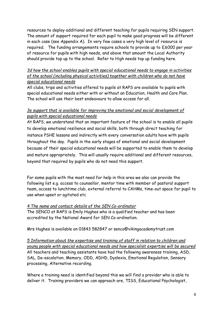resources to deploy additional and different teaching for pupils requiring SEN support. The amount of support required for each pupil to make good progress will be different in each case (see Appendix A). In very few cases a very high level of resource is required. The funding arrangements require schools to provide up to £6000 per year of resource for pupils with high needs, and above that amount the Local Authority should provide top up to the school. Refer to High needs top up funding here.

#### *3d how the school enables pupils with special educational needs to engage in activities of the school (including physical activities) together with children who do not have special educational needs*

All clubs, trips and activities offered to pupils at RAPS are available to pupils with special educational needs either with or without an Education, Health and Care Plan. The school will use their best endeavours to allow access for all.

#### *3e support that is available for improving the emotional and social development of pupils with special educational needs*

At RAPS, we understand that an important feature of the school is to enable all pupils to develop emotional resilience and social skills, both through direct teaching for instance PSHE lessons and indirectly with every conversation adults have with pupils throughout the day. Pupils in the early stages of emotional and social development because of their special educational needs will be supported to enable them to develop and mature appropriately. This will usually require additional and different resources, beyond that required by pupils who do not need this support.

For some pupils with the most need for help in this area we also can provide the following list e.g. access to counsellor, mentor time with member of pastoral support team, access to lunchtime club, external referral to CAHMs, time-out space for pupil to use when upset or agitated etc

#### *4 The name and contact details of the SEN Co-ordinator*

The SENCO at RAPS is Emily Hughes who is a qualified teacher and has been accredited by the National Award for SEN Co-ordination.

Mrs Hughes is available on 01843 582847 or senco@vikingacademytrust.com

*5 Information about the expertise and training of staff in relation to children and young people with special educational needs and how specialist expertise will be secured* All teachers and teaching assistants have had the following awareness training, ASD, SAL, De-escalation, Memory, ODD, ADHD, Dyslexia, Emotional Regulation, Sensory processing, Alternative recording.

Where a training need is identified beyond this we will find a provider who is able to deliver it. Training providers we can approach are, TISS, Educational Psychologist,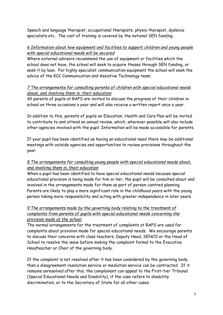Speech and language therapist, occupational therapists, physio therapist, dyslexia specialists etc. The cost of training is covered by the notional SEN funding.

#### *6 Information about how equipment and facilities to support children and young people with special educational needs will be secured*

Where external advisors recommend the use of equipment or facilities which the school does not have, the school will seek to acquire theses through SEN funding, or seek it by loan. For highly specialist communication equipment the school will seek the advice of the KCC Communication and Assistive Technology team.

#### *7 The arrangements for consulting parents of children with special educational needs about, and involving them in, their education*

All parents of pupils at RAPS are invited to discuss the progress of their children in school on three occasions a year and will also receive a written report once a year.

In addition to this, parents of pupils an Education, Health and Care Plan will be invited to contribute to and attend an annual review, which, wherever possible will also include other agencies involved with the pupil. Information will be made accessible for parents.

If your pupil has been identified as having an educational need there may be additional meetings with outside agencies and opportunities to review provisions throughout the year.

#### *8 The arrangements for consulting young people with special educational needs about, and involving them in, their education*

When a pupil has been identified to have special educational needs because special educational provision is being made for him or her, the pupil will be consulted about and involved in the arrangements made for them as part of person-centred planning. Parents are likely to play a more significant role in the childhood years with the young person taking more responsibility and acting with greater independence in later years.

#### *9 The arrangements made by the governing body relating to the treatment of complaints from parents of pupils with special educational needs concerning the provision made at the school*

The normal arrangements for the treatment of complaints at RAPS are used for complaints about provision made for special educational needs. We encourage parents to discuss their concerns with class teachers, Deputy Head, SENCO or the Head of School to resolve the issue before making the complaint formal to the Executive Headteacher or Chair of the governing body.

If the complaint is not resolved after it has been considered by the governing body, then a disagreement resolution service or mediation service can be contracted. If it remains unresolved after this, the complainant can appeal to the First–tier Tribunal (Special Educational Needs and Disability), if the case refers to disability discrimination, or to the Secretary of State for all other cases.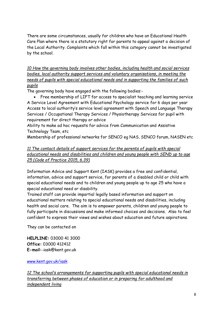There are some circumstances, usually for children who have an Educational Health Care Plan where there is a statutory right for parents to appeal against a decision of the Local Authority. Complaints which fall within this category cannot be investigated by the school.

*10 How the governing body involves other bodies, including health and social services bodies, local authority support services and voluntary organisations, in meeting the needs of pupils with special educational needs and in supporting the families of such pupils*

The governing body have engaged with the following bodies:-

• Free membership of LIFT for access to specialist teaching and learning service A Service Level Agreement with Educational Psychology service for 6 days per year Access to local authority's service level agreement with Speech and Language Therapy Services / Occupational Therapy Services / Physiotherapy Services for pupil with requirement for direct therapy or advice

Ability to make ad hoc requests for advice from Communication and Assistive Technology Team, etc

Membership of professional networks for SENCO eg NAS, SENCO forum, NASEN etc

#### *11 The contact details of support services for the parents of pupils with special educational needs and disabilities and children and young people with SEND up to age 25 (Code of Practice 2015, 6.39)*

Information Advice and Support Kent (IASK) provides a free and confidential, information, advice and support service, for parents of a disabled child or child with special educational needs and to children and young people up to age 25 who have a special educational need or disability.

Trained staff can provide impartial legally based information and support on educational matters relating to special educational needs and disabilities, including health and social care. The aim is to empower parents, children and young people to fully participate in discussions and make informed choices and decisions. Also to feel confident to express their views and wishes about education and future aspirations.

They can be contacted on

**HELPLINE:** 03000 41 3000 **Office:** 03000 412412 E-mail:-iask@kent.gov.uk

[www.kent.gov.uk/iask](http://www.kent.gov.uk/iask)

*12 The school's arrangements for supporting pupils with special educational needs in transferring between phases of education or in preparing for adulthood and independent living*